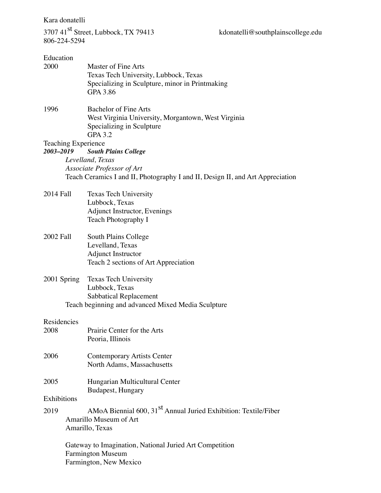Kara donatelli

3707 41<sup>st</sup> Street, Lubbock, TX 79413 kdonatelli@southplainscollege.edu 806-224-5294

| Education<br>2000                                                                                             | Master of Fine Arts<br>Texas Tech University, Lubbock, Texas<br>Specializing in Sculpture, minor in Printmaking<br>GPA 3.86        |  |  |  |
|---------------------------------------------------------------------------------------------------------------|------------------------------------------------------------------------------------------------------------------------------------|--|--|--|
| 1996                                                                                                          | <b>Bachelor of Fine Arts</b><br>West Virginia University, Morgantown, West Virginia<br>Specializing in Sculpture<br><b>GPA 3.2</b> |  |  |  |
| <b>Teaching Experience</b><br>2003-2019                                                                       |                                                                                                                                    |  |  |  |
|                                                                                                               | <b>South Plains College</b><br>Levelland, Texas                                                                                    |  |  |  |
| Associate Professor of Art                                                                                    |                                                                                                                                    |  |  |  |
|                                                                                                               | Teach Ceramics I and II, Photography I and II, Design II, and Art Appreciation                                                     |  |  |  |
| 2014 Fall                                                                                                     | <b>Texas Tech University</b><br>Lubbock, Texas<br>Adjunct Instructor, Evenings<br>Teach Photography I                              |  |  |  |
| 2002 Fall                                                                                                     | South Plains College<br>Levelland, Texas<br><b>Adjunct Instructor</b><br>Teach 2 sections of Art Appreciation                      |  |  |  |
| 2001 Spring                                                                                                   | Texas Tech University<br>Lubbock, Texas<br><b>Sabbatical Replacement</b><br>Teach beginning and advanced Mixed Media Sculpture     |  |  |  |
|                                                                                                               |                                                                                                                                    |  |  |  |
| Residencies<br>2008                                                                                           | Prairie Center for the Arts<br>Peoria, Illinois                                                                                    |  |  |  |
| 2006                                                                                                          | <b>Contemporary Artists Center</b><br>North Adams, Massachusetts                                                                   |  |  |  |
| 2005                                                                                                          | Hungarian Multicultural Center<br>Budapest, Hungary                                                                                |  |  |  |
| Exhibitions                                                                                                   |                                                                                                                                    |  |  |  |
| 2019                                                                                                          | AMoA Biennial 600, 31 <sup>st</sup> Annual Juried Exhibition: Textile/Fiber<br>Amarillo Museum of Art<br>Amarillo, Texas           |  |  |  |
| Gateway to Imagination, National Juried Art Competition<br><b>Farmington Museum</b><br>Farmington, New Mexico |                                                                                                                                    |  |  |  |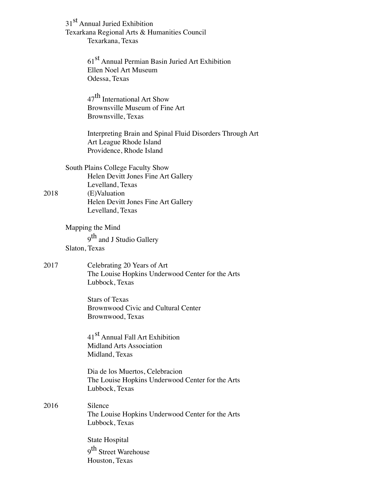|      | 31 <sup>st</sup> Annual Juried Exhibition<br>Texarkana Regional Arts & Humanities Council<br>Texarkana, Texas                                                           |
|------|-------------------------------------------------------------------------------------------------------------------------------------------------------------------------|
|      | 61 <sup>st</sup> Annual Permian Basin Juried Art Exhibition<br>Ellen Noel Art Museum<br>Odessa, Texas                                                                   |
|      | 47 <sup>th</sup> International Art Show<br>Brownsville Museum of Fine Art<br>Brownsville, Texas                                                                         |
|      | Interpreting Brain and Spinal Fluid Disorders Through Art<br>Art League Rhode Island<br>Providence, Rhode Island                                                        |
| 2018 | South Plains College Faculty Show<br>Helen Devitt Jones Fine Art Gallery<br>Levelland, Texas<br>(E)Valuation<br>Helen Devitt Jones Fine Art Gallery<br>Levelland, Texas |
|      | Mapping the Mind<br>9 <sup>th</sup> and J Studio Gallery<br>Slaton, Texas                                                                                               |
| 2017 | Celebrating 20 Years of Art<br>The Louise Hopkins Underwood Center for the Arts<br>Lubbock, Texas                                                                       |
|      | <b>Stars of Texas</b><br>Brownwood Civic and Cultural Center<br>Brownwood, Texas                                                                                        |
|      | 41 <sup>st</sup> Annual Fall Art Exhibition<br><b>Midland Arts Association</b><br>Midland, Texas                                                                        |
|      | Dia de los Muertos, Celebracion<br>The Louise Hopkins Underwood Center for the Arts<br>Lubbock, Texas                                                                   |
| 2016 | Silence<br>The Louise Hopkins Underwood Center for the Arts<br>Lubbock, Texas                                                                                           |
|      | State Hospital<br>9 <sup>th</sup> Street Warehouse<br>Houston, Texas                                                                                                    |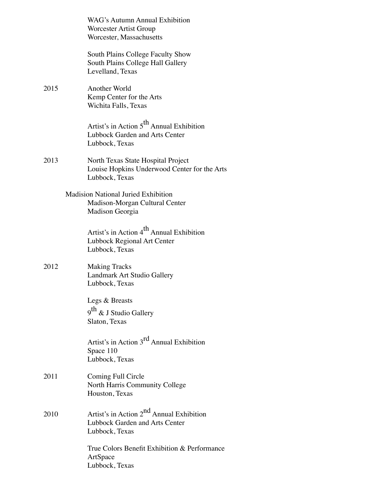|      | WAG's Autumn Annual Exhibition<br>Worcester Artist Group<br>Worcester, Massachusetts                     |
|------|----------------------------------------------------------------------------------------------------------|
|      | South Plains College Faculty Show<br>South Plains College Hall Gallery<br>Levelland, Texas               |
| 2015 | Another World<br>Kemp Center for the Arts<br>Wichita Falls, Texas                                        |
|      | Artist's in Action 5 <sup>th</sup> Annual Exhibition<br>Lubbock Garden and Arts Center<br>Lubbock, Texas |
| 2013 | North Texas State Hospital Project<br>Louise Hopkins Underwood Center for the Arts<br>Lubbock, Texas     |
|      | <b>Madision National Juried Exhibition</b><br>Madison-Morgan Cultural Center<br>Madison Georgia          |
|      | Artist's in Action 4 <sup>th</sup> Annual Exhibition<br>Lubbock Regional Art Center<br>Lubbock, Texas    |
| 2012 | <b>Making Tracks</b><br>Landmark Art Studio Gallery<br>Lubbock, Texas                                    |
|      | Legs & Breasts<br>9 <sup>th</sup> & J Studio Gallery<br>Slaton, Texas                                    |
|      | Artist's in Action 3 <sup>rd</sup> Annual Exhibition<br>Space 110<br>Lubbock, Texas                      |
| 2011 | Coming Full Circle<br>North Harris Community College<br>Houston, Texas                                   |
| 2010 | Artist's in Action 2 <sup>nd</sup> Annual Exhibition<br>Lubbock Garden and Arts Center<br>Lubbock, Texas |
|      | True Colors Benefit Exhibition & Performance<br>ArtSpace<br>Lubbock, Texas                               |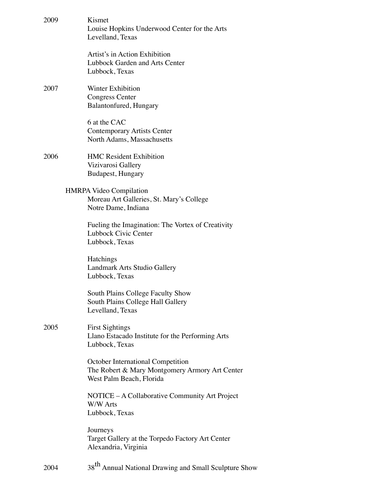| 2009 | Kismet<br>Louise Hopkins Underwood Center for the Arts<br>Levelland, Texas                                      |
|------|-----------------------------------------------------------------------------------------------------------------|
|      | Artist's in Action Exhibition<br><b>Lubbock Garden and Arts Center</b><br>Lubbock, Texas                        |
| 2007 | Winter Exhibition<br><b>Congress Center</b><br>Balantonfured, Hungary                                           |
|      | 6 at the CAC<br><b>Contemporary Artists Center</b><br>North Adams, Massachusetts                                |
| 2006 | <b>HMC Resident Exhibition</b><br>Vizivarosi Gallery<br>Budapest, Hungary                                       |
|      | <b>HMRPA Video Compilation</b><br>Moreau Art Galleries, St. Mary's College<br>Notre Dame, Indiana               |
|      | Fueling the Imagination: The Vortex of Creativity<br>Lubbock Civic Center<br>Lubbock, Texas                     |
|      | Hatchings<br>Landmark Arts Studio Gallery<br>Lubbock, Texas                                                     |
|      | South Plains College Faculty Show<br>South Plains College Hall Gallery<br>Levelland, Texas                      |
| 2005 | <b>First Sightings</b><br>Llano Estacado Institute for the Performing Arts<br>Lubbock, Texas                    |
|      | October International Competition<br>The Robert & Mary Montgomery Armory Art Center<br>West Palm Beach, Florida |
|      | NOTICE – A Collaborative Community Art Project<br>W/W Arts<br>Lubbock, Texas                                    |
|      | Journeys<br>Target Gallery at the Torpedo Factory Art Center<br>Alexandria, Virginia                            |
| 2004 | 38 <sup>th</sup> Annual National Drawing and Small Sculpture Show                                               |